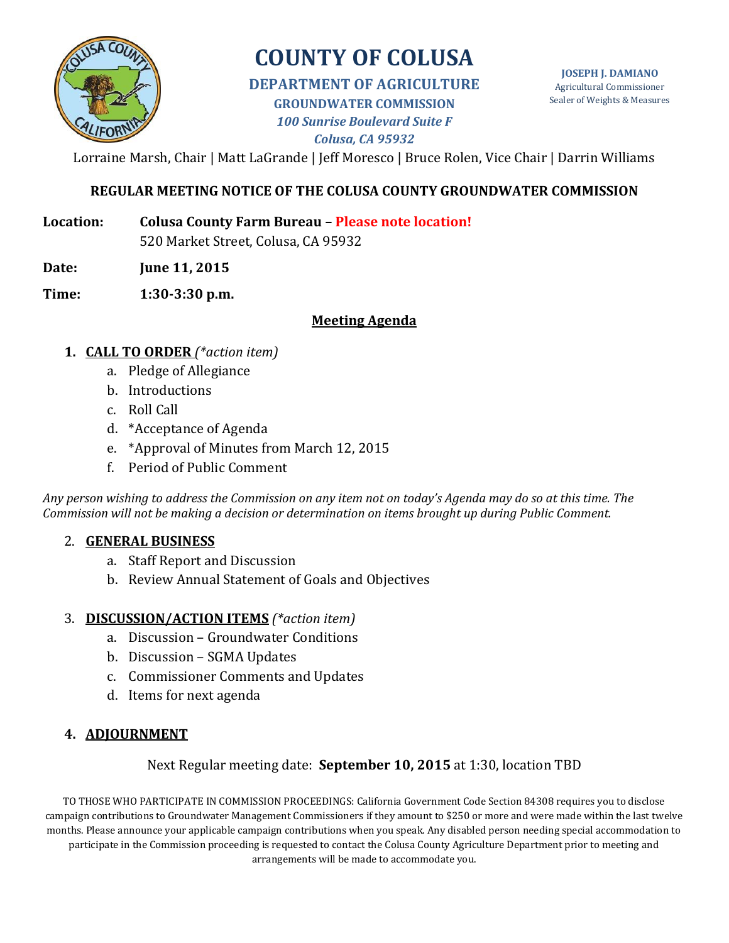

# **COUNTY OF COLUSA**

## **DEPARTMENT OF AGRICULTURE GROUNDWATER COMMISSION** *100 Sunrise Boulevard Suite F Colusa, CA 95932*

**JOSEPH J. DAMIANO** Agricultural Commissioner Sealer of Weights & Measures

Lorraine Marsh, Chair | Matt LaGrande | Jeff Moresco | Bruce Rolen, Vice Chair | Darrin Williams

# **REGULAR MEETING NOTICE OF THE COLUSA COUNTY GROUNDWATER COMMISSION**

- **Location: Colusa County Farm Bureau – Please note location!** 520 Market Street, Colusa, CA 95932
- **Date: June 11, 2015**
- **Time: 1:30-3:30 p.m.**

## **Meeting Agenda**

- **1. CALL TO ORDER** *(\*action item)*
	- a. Pledge of Allegiance
	- b. Introductions
	- c. Roll Call
	- d. \*Acceptance of Agenda
	- e. \*Approval of Minutes from March 12, 2015
	- f. Period of Public Comment

*Any person wishing to address the Commission on any item not on today's Agenda may do so at this time. The Commission will not be making a decision or determination on items brought up during Public Comment.*

## 2. **GENERAL BUSINESS**

- a. Staff Report and Discussion
- b. Review Annual Statement of Goals and Objectives

## 3. **DISCUSSION/ACTION ITEMS** *(\*action item)*

- a. Discussion Groundwater Conditions
- b. Discussion SGMA Updates
- c. Commissioner Comments and Updates
- d. Items for next agenda

# **4. ADJOURNMENT**

# Next Regular meeting date: **September 10, 2015** at 1:30, location TBD

TO THOSE WHO PARTICIPATE IN COMMISSION PROCEEDINGS: California Government Code Section 84308 requires you to disclose campaign contributions to Groundwater Management Commissioners if they amount to \$250 or more and were made within the last twelve months. Please announce your applicable campaign contributions when you speak. Any disabled person needing special accommodation to participate in the Commission proceeding is requested to contact the Colusa County Agriculture Department prior to meeting and arrangements will be made to accommodate you.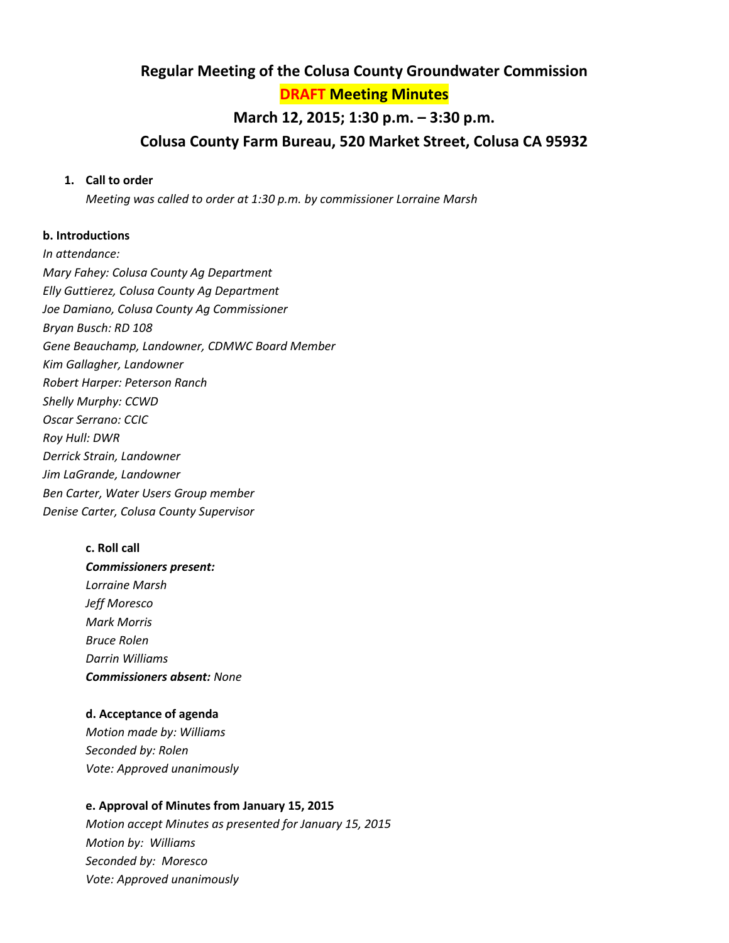## **Regular Meeting of the Colusa County Groundwater Commission**

**DRAFT Meeting Minutes**

# **March 12, 2015; 1:30 p.m. – 3:30 p.m. Colusa County Farm Bureau, 520 Market Street, Colusa CA 95932**

#### **1. Call to order**

*Meeting was called to order at 1:30 p.m. by commissioner Lorraine Marsh*

#### **b. Introductions**

*In attendance: Mary Fahey: Colusa County Ag Department Elly Guttierez, Colusa County Ag Department Joe Damiano, Colusa County Ag Commissioner Bryan Busch: RD 108 Gene Beauchamp, Landowner, CDMWC Board Member Kim Gallagher, Landowner Robert Harper: Peterson Ranch Shelly Murphy: CCWD Oscar Serrano: CCIC Roy Hull: DWR Derrick Strain, Landowner Jim LaGrande, Landowner Ben Carter, Water Users Group member Denise Carter, Colusa County Supervisor*

# **c. Roll call**  *Commissioners present: Lorraine Marsh Jeff Moresco Mark Morris Bruce Rolen Darrin Williams Commissioners absent: None*

#### **d. Acceptance of agenda**

*Motion made by: Williams Seconded by: Rolen Vote: Approved unanimously*

#### **e. Approval of Minutes from January 15, 2015**

*Motion accept Minutes as presented for January 15, 2015 Motion by: Williams Seconded by: Moresco Vote: Approved unanimously*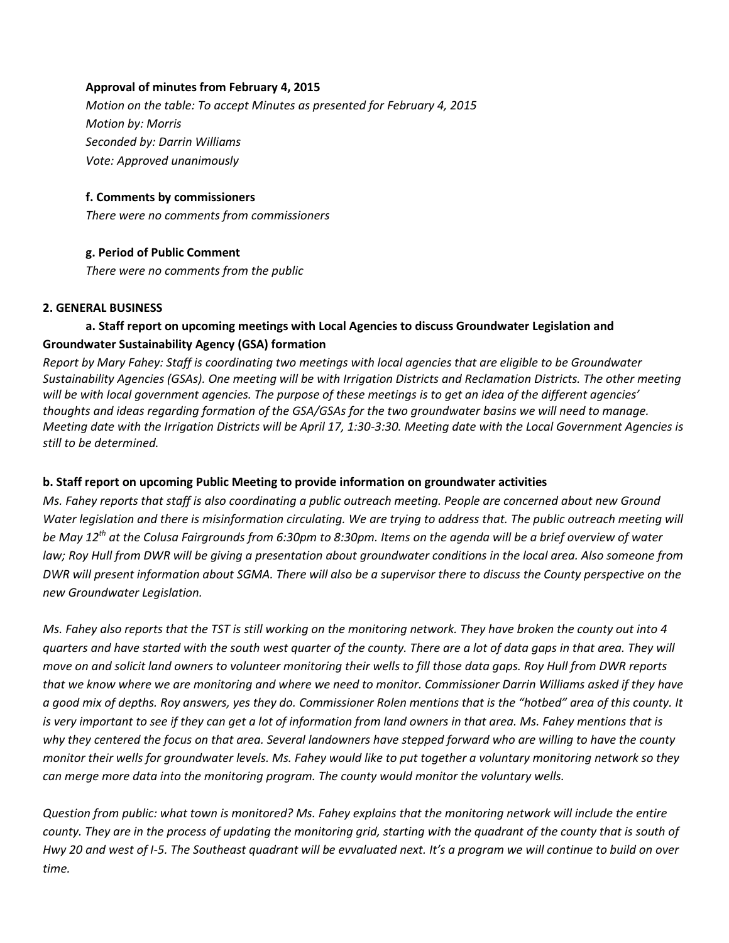#### **Approval of minutes from February 4, 2015**

*Motion on the table: To accept Minutes as presented for February 4, 2015 Motion by: Morris Seconded by: Darrin Williams Vote: Approved unanimously*

#### **f. Comments by commissioners**

*There were no comments from commissioners*

#### **g. Period of Public Comment**

*There were no comments from the public*

#### **2. GENERAL BUSINESS**

#### **a. Staff report on upcoming meetings with Local Agencies to discuss Groundwater Legislation and Groundwater Sustainability Agency (GSA) formation**

*Report by Mary Fahey: Staff is coordinating two meetings with local agencies that are eligible to be Groundwater Sustainability Agencies (GSAs). One meeting will be with Irrigation Districts and Reclamation Districts. The other meeting will be with local government agencies. The purpose of these meetings is to get an idea of the different agencies' thoughts and ideas regarding formation of the GSA/GSAs for the two groundwater basins we will need to manage. Meeting date with the Irrigation Districts will be April 17, 1:30-3:30. Meeting date with the Local Government Agencies is still to be determined.*

#### **b. Staff report on upcoming Public Meeting to provide information on groundwater activities**

*Ms. Fahey reports that staff is also coordinating a public outreach meeting. People are concerned about new Ground*  Water legislation and there is misinformation circulating. We are trying to address that. The public outreach meeting will *be May 12th at the Colusa Fairgrounds from 6:30pm to 8:30pm. Items on the agenda will be a brief overview of water law; Roy Hull from DWR will be giving a presentation about groundwater conditions in the local area. Also someone from DWR will present information about SGMA. There will also be a supervisor there to discuss the County perspective on the new Groundwater Legislation.*

*Ms. Fahey also reports that the TST is still working on the monitoring network. They have broken the county out into 4 quarters and have started with the south west quarter of the county. There are a lot of data gaps in that area. They will move on and solicit land owners to volunteer monitoring their wells to fill those data gaps. Roy Hull from DWR reports that we know where we are monitoring and where we need to monitor. Commissioner Darrin Williams asked if they have a good mix of depths. Roy answers, yes they do. Commissioner Rolen mentions that is the "hotbed" area of this county. It is very important to see if they can get a lot of information from land owners in that area. Ms. Fahey mentions that is why they centered the focus on that area. Several landowners have stepped forward who are willing to have the county monitor their wells for groundwater levels. Ms. Fahey would like to put together a voluntary monitoring network so they can merge more data into the monitoring program. The county would monitor the voluntary wells.*

*Question from public: what town is monitored? Ms. Fahey explains that the monitoring network will include the entire county. They are in the process of updating the monitoring grid, starting with the quadrant of the county that is south of Hwy 20 and west of I-5. The Southeast quadrant will be evvaluated next. It's a program we will continue to build on over time.*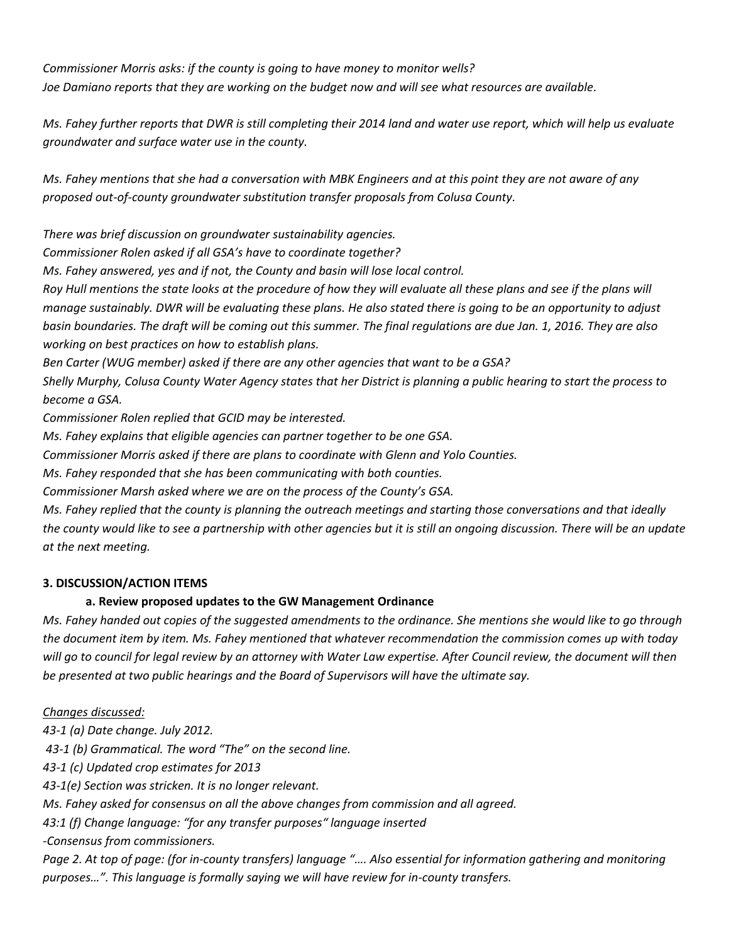*Commissioner Morris asks: if the county is going to have money to monitor wells? Joe Damiano reports that they are working on the budget now and will see what resources are available.*

*Ms. Fahey further reports that DWR is still completing their 2014 land and water use report, which will help us evaluate groundwater and surface water use in the county.* 

*Ms. Fahey mentions that she had a conversation with MBK Engineers and at this point they are not aware of any proposed out-of-county groundwater substitution transfer proposals from Colusa County.* 

*There was brief discussion on groundwater sustainability agencies.* 

*Commissioner Rolen asked if all GSA's have to coordinate together?* 

*Ms. Fahey answered, yes and if not, the County and basin will lose local control.*

*Roy Hull mentions the state looks at the procedure of how they will evaluate all these plans and see if the plans will manage sustainably. DWR will be evaluating these plans. He also stated there is going to be an opportunity to adjust basin boundaries. The draft will be coming out this summer. The final regulations are due Jan. 1, 2016. They are also working on best practices on how to establish plans.* 

*Ben Carter (WUG member) asked if there are any other agencies that want to be a GSA?* 

*Shelly Murphy, Colusa County Water Agency states that her District is planning a public hearing to start the process to become a GSA.*

*Commissioner Rolen replied that GCID may be interested.* 

*Ms. Fahey explains that eligible agencies can partner together to be one GSA.* 

*Commissioner Morris asked if there are plans to coordinate with Glenn and Yolo Counties.*

*Ms. Fahey responded that she has been communicating with both counties.*

*Commissioner Marsh asked where we are on the process of the County's GSA.* 

*Ms. Fahey replied that the county is planning the outreach meetings and starting those conversations and that ideally the county would like to see a partnership with other agencies but it is still an ongoing discussion. There will be an update at the next meeting.*

#### **3. DISCUSSION/ACTION ITEMS**

#### **a. Review proposed updates to the GW Management Ordinance**

*Ms. Fahey handed out copies of the suggested amendments to the ordinance. She mentions she would like to go through the document item by item. Ms. Fahey mentioned that whatever recommendation the commission comes up with today will go to council for legal review by an attorney with Water Law expertise. After Council review, the document will then be presented at two public hearings and the Board of Supervisors will have the ultimate say.* 

#### *Changes discussed:*

*43-1 (a) Date change. July 2012.*

*43-1 (b) Grammatical. The word "The" on the second line.* 

*43-1 (c) Updated crop estimates for 2013* 

*43-1(e) Section was stricken. It is no longer relevant.* 

*Ms. Fahey asked for consensus on all the above changes from commission and all agreed.*

*43:1 (f) Change language: "for any transfer purposes" language inserted*

*-Consensus from commissioners.* 

*Page 2. At top of page: (for in-county transfers) language ".... Also essential for information gathering and monitoring purposes…". This language is formally saying we will have review for in-county transfers.*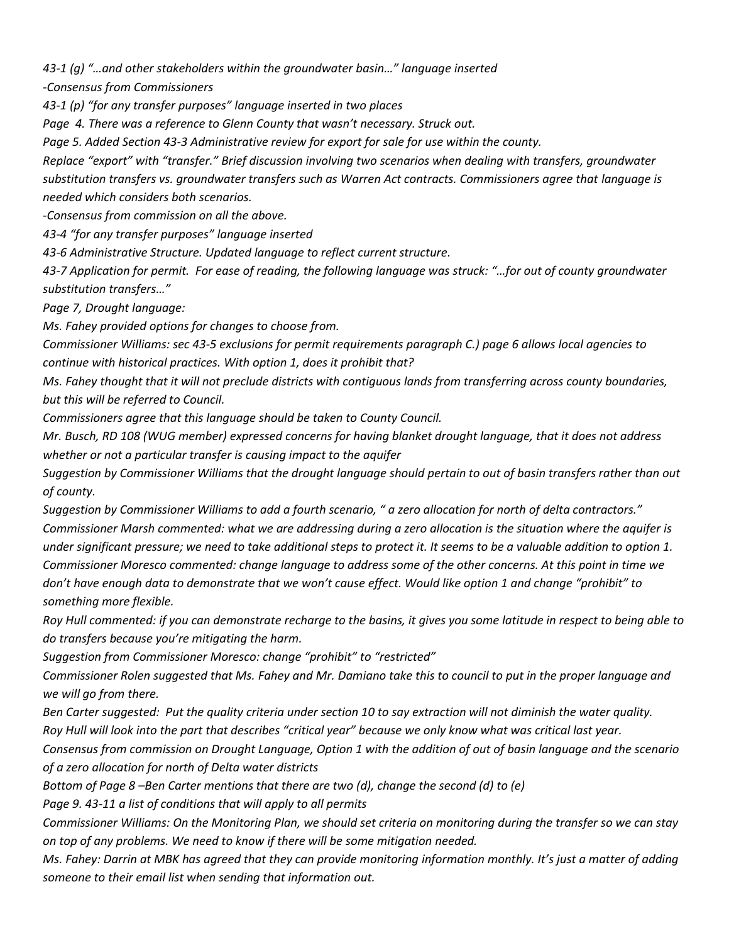*43-1 (g) "…and other stakeholders within the groundwater basin…" language inserted*

*-Consensus from Commissioners*

*43-1 (p) "for any transfer purposes" language inserted in two places*

*Page 4. There was a reference to Glenn County that wasn't necessary. Struck out.* 

*Page 5. Added Section 43-3 Administrative review for export for sale for use within the county.* 

*Replace "export" with "transfer." Brief discussion involving two scenarios when dealing with transfers, groundwater substitution transfers vs. groundwater transfers such as Warren Act contracts. Commissioners agree that language is needed which considers both scenarios.* 

*-Consensus from commission on all the above.* 

*43-4 "for any transfer purposes" language inserted*

*43-6 Administrative Structure. Updated language to reflect current structure.* 

*43-7 Application for permit. For ease of reading, the following language was struck: "…for out of county groundwater substitution transfers…"*

*Page 7, Drought language:* 

*Ms. Fahey provided options for changes to choose from.* 

*Commissioner Williams: sec 43-5 exclusions for permit requirements paragraph C.) page 6 allows local agencies to continue with historical practices. With option 1, does it prohibit that?* 

*Ms. Fahey thought that it will not preclude districts with contiguous lands from transferring across county boundaries, but this will be referred to Council.* 

*Commissioners agree that this language should be taken to County Council.*

*Mr. Busch, RD 108 (WUG member) expressed concerns for having blanket drought language, that it does not address whether or not a particular transfer is causing impact to the aquifer*

*Suggestion by Commissioner Williams that the drought language should pertain to out of basin transfers rather than out of county.*

*Suggestion by Commissioner Williams to add a fourth scenario, " a zero allocation for north of delta contractors." Commissioner Marsh commented: what we are addressing during a zero allocation is the situation where the aquifer is under significant pressure; we need to take additional steps to protect it. It seems to be a valuable addition to option 1. Commissioner Moresco commented: change language to address some of the other concerns. At this point in time we don't have enough data to demonstrate that we won't cause effect. Would like option 1 and change "prohibit" to something more flexible.* 

*Roy Hull commented: if you can demonstrate recharge to the basins, it gives you some latitude in respect to being able to do transfers because you're mitigating the harm.*

*Suggestion from Commissioner Moresco: change "prohibit" to "restricted"* 

*Commissioner Rolen suggested that Ms. Fahey and Mr. Damiano take this to council to put in the proper language and we will go from there.* 

*Ben Carter suggested: Put the quality criteria under section 10 to say extraction will not diminish the water quality. Roy Hull will look into the part that describes "critical year" because we only know what was critical last year.* 

*Consensus from commission on Drought Language, Option 1 with the addition of out of basin language and the scenario of a zero allocation for north of Delta water districts*

*Bottom of Page 8 –Ben Carter mentions that there are two (d), change the second (d) to (e)*

*Page 9. 43-11 a list of conditions that will apply to all permits*

*Commissioner Williams: On the Monitoring Plan, we should set criteria on monitoring during the transfer so we can stay on top of any problems. We need to know if there will be some mitigation needed.* 

*Ms. Fahey: Darrin at MBK has agreed that they can provide monitoring information monthly. It's just a matter of adding someone to their email list when sending that information out.*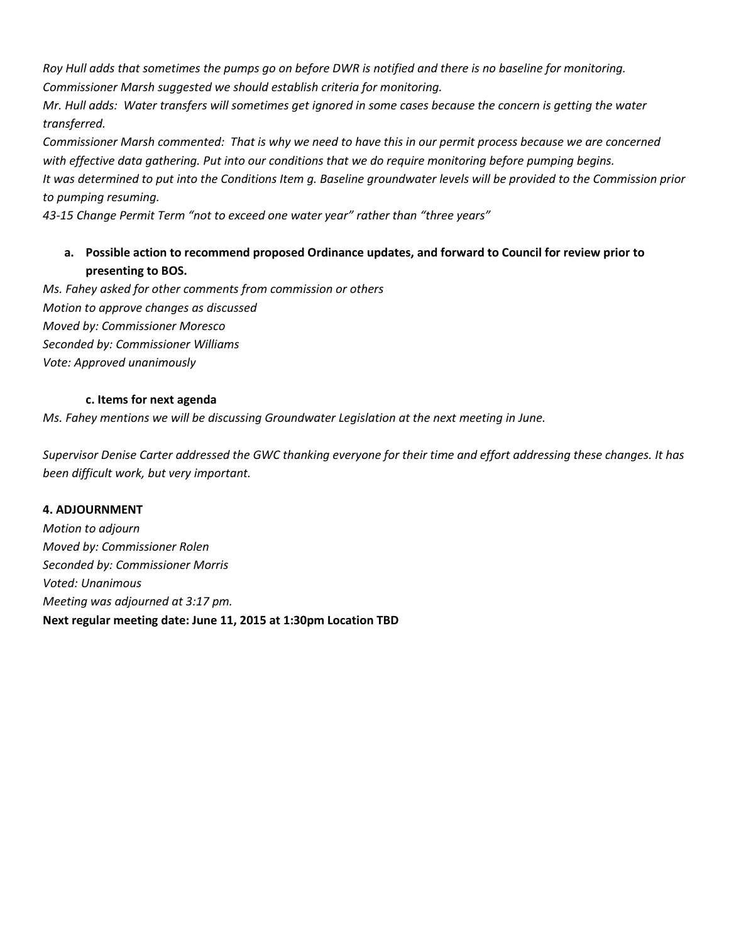*Roy Hull adds that sometimes the pumps go on before DWR is notified and there is no baseline for monitoring. Commissioner Marsh suggested we should establish criteria for monitoring.* 

*Mr. Hull adds: Water transfers will sometimes get ignored in some cases because the concern is getting the water transferred.* 

*Commissioner Marsh commented: That is why we need to have this in our permit process because we are concerned with effective data gathering. Put into our conditions that we do require monitoring before pumping begins. It was determined to put into the Conditions Item g. Baseline groundwater levels will be provided to the Commission prior to pumping resuming.*

*43-15 Change Permit Term "not to exceed one water year" rather than "three years"*

## **a. Possible action to recommend proposed Ordinance updates, and forward to Council for review prior to presenting to BOS.**

*Ms. Fahey asked for other comments from commission or others Motion to approve changes as discussed Moved by: Commissioner Moresco Seconded by: Commissioner Williams Vote: Approved unanimously*

#### **c. Items for next agenda**

*Ms. Fahey mentions we will be discussing Groundwater Legislation at the next meeting in June.*

*Supervisor Denise Carter addressed the GWC thanking everyone for their time and effort addressing these changes. It has been difficult work, but very important.*

#### **4. ADJOURNMENT**

*Motion to adjourn Moved by: Commissioner Rolen Seconded by: Commissioner Morris Voted: Unanimous Meeting was adjourned at 3:17 pm.*  **Next regular meeting date: June 11, 2015 at 1:30pm Location TBD**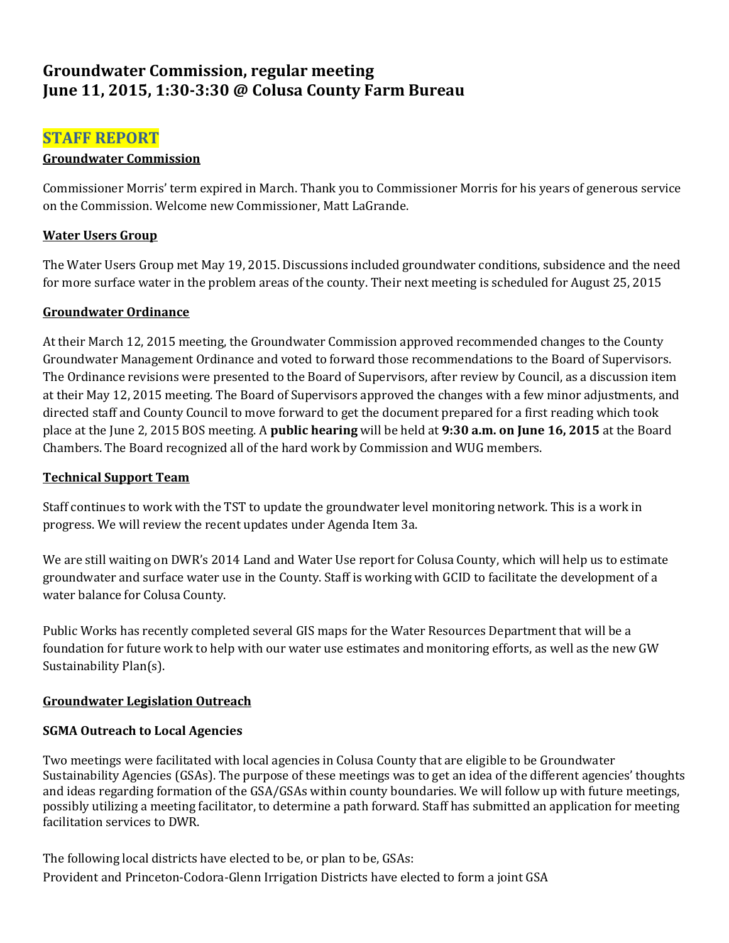# **Groundwater Commission, regular meeting June 11, 2015, 1:30-3:30 @ Colusa County Farm Bureau**

# **STAFF REPORT**

#### **Groundwater Commission**

Commissioner Morris' term expired in March. Thank you to Commissioner Morris for his years of generous service on the Commission. Welcome new Commissioner, Matt LaGrande.

## **Water Users Group**

The Water Users Group met May 19, 2015. Discussions included groundwater conditions, subsidence and the need for more surface water in the problem areas of the county. Their next meeting is scheduled for August 25, 2015

#### **Groundwater Ordinance**

At their March 12, 2015 meeting, the Groundwater Commission approved recommended changes to the County Groundwater Management Ordinance and voted to forward those recommendations to the Board of Supervisors. The Ordinance revisions were presented to the Board of Supervisors, after review by Council, as a discussion item at their May 12, 2015 meeting. The Board of Supervisors approved the changes with a few minor adjustments, and directed staff and County Council to move forward to get the document prepared for a first reading which took place at the June 2, 2015 BOS meeting. A **public hearing** will be held at **9:30 a.m. on June 16, 2015** at the Board Chambers. The Board recognized all of the hard work by Commission and WUG members.

#### **Technical Support Team**

Staff continues to work with the TST to update the groundwater level monitoring network. This is a work in progress. We will review the recent updates under Agenda Item 3a.

We are still waiting on DWR's 2014 Land and Water Use report for Colusa County, which will help us to estimate groundwater and surface water use in the County. Staff is working with GCID to facilitate the development of a water balance for Colusa County.

Public Works has recently completed several GIS maps for the Water Resources Department that will be a foundation for future work to help with our water use estimates and monitoring efforts, as well as the new GW Sustainability Plan(s).

## **Groundwater Legislation Outreach**

## **SGMA Outreach to Local Agencies**

Two meetings were facilitated with local agencies in Colusa County that are eligible to be Groundwater Sustainability Agencies (GSAs). The purpose of these meetings was to get an idea of the different agencies' thoughts and ideas regarding formation of the GSA/GSAs within county boundaries. We will follow up with future meetings, possibly utilizing a meeting facilitator, to determine a path forward. Staff has submitted an application for meeting facilitation services to DWR.

The following local districts have elected to be, or plan to be, GSAs: Provident and Princeton-Codora-Glenn Irrigation Districts have elected to form a joint GSA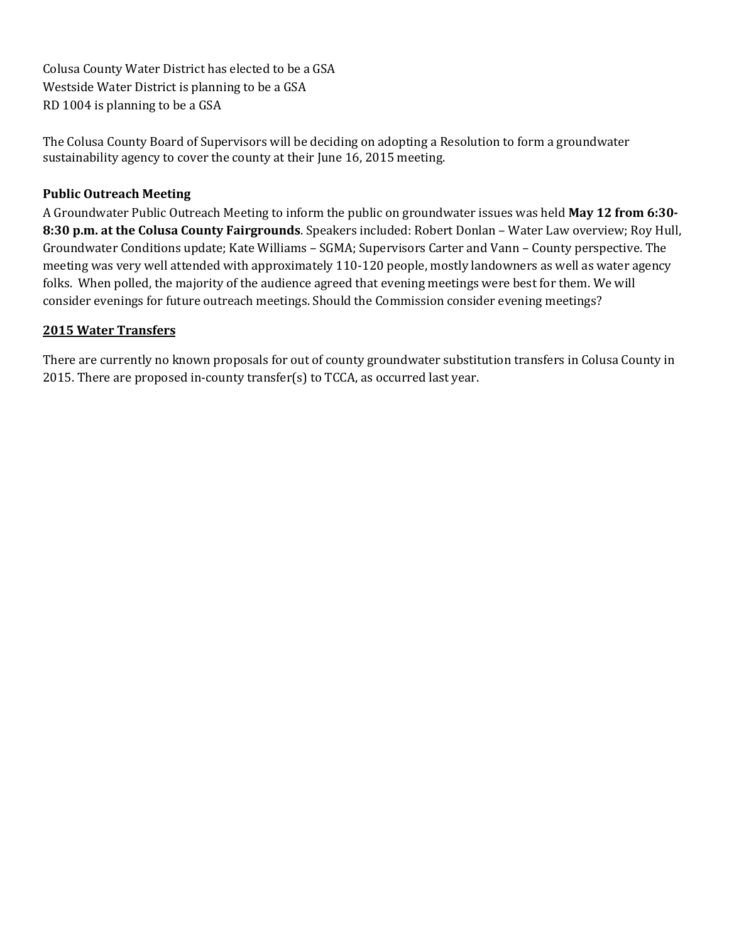Colusa County Water District has elected to be a GSA Westside Water District is planning to be a GSA RD 1004 is planning to be a GSA

The Colusa County Board of Supervisors will be deciding on adopting a Resolution to form a groundwater sustainability agency to cover the county at their June 16, 2015 meeting.

#### **Public Outreach Meeting**

A Groundwater Public Outreach Meeting to inform the public on groundwater issues was held **May 12 from 6:30- 8:30 p.m. at the Colusa County Fairgrounds**. Speakers included: Robert Donlan – Water Law overview; Roy Hull, Groundwater Conditions update; Kate Williams – SGMA; Supervisors Carter and Vann – County perspective. The meeting was very well attended with approximately 110-120 people, mostly landowners as well as water agency folks. When polled, the majority of the audience agreed that evening meetings were best for them. We will consider evenings for future outreach meetings. Should the Commission consider evening meetings?

#### **2015 Water Transfers**

There are currently no known proposals for out of county groundwater substitution transfers in Colusa County in 2015. There are proposed in-county transfer(s) to TCCA, as occurred last year.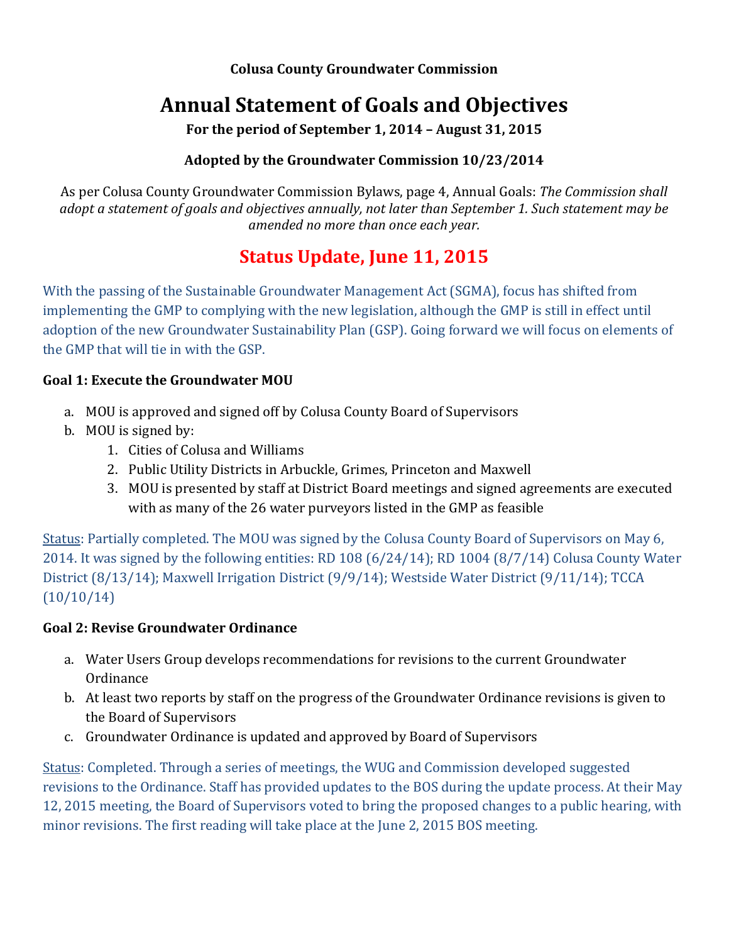**Colusa County Groundwater Commission**

# **Annual Statement of Goals and Objectives**

**For the period of September 1, 2014 – August 31, 2015**

# **Adopted by the Groundwater Commission 10/23/2014**

As per Colusa County Groundwater Commission Bylaws, page 4, Annual Goals: *The Commission shall adopt a statement of goals and objectives annually, not later than September 1. Such statement may be amended no more than once each year.*

# **Status Update, June 11, 2015**

With the passing of the Sustainable Groundwater Management Act (SGMA), focus has shifted from implementing the GMP to complying with the new legislation, although the GMP is still in effect until adoption of the new Groundwater Sustainability Plan (GSP). Going forward we will focus on elements of the GMP that will tie in with the GSP.

# **Goal 1: Execute the Groundwater MOU**

- a. MOU is approved and signed off by Colusa County Board of Supervisors
- b. MOU is signed by:
	- 1. Cities of Colusa and Williams
	- 2. Public Utility Districts in Arbuckle, Grimes, Princeton and Maxwell
	- 3. MOU is presented by staff at District Board meetings and signed agreements are executed with as many of the 26 water purveyors listed in the GMP as feasible

Status: Partially completed. The MOU was signed by the Colusa County Board of Supervisors on May 6, 2014. It was signed by the following entities: RD 108 (6/24/14); RD 1004 (8/7/14) Colusa County Water District (8/13/14); Maxwell Irrigation District (9/9/14); Westside Water District (9/11/14); TCCA (10/10/14)

# **Goal 2: Revise Groundwater Ordinance**

- a. Water Users Group develops recommendations for revisions to the current Groundwater Ordinance
- b. At least two reports by staff on the progress of the Groundwater Ordinance revisions is given to the Board of Supervisors
- c. Groundwater Ordinance is updated and approved by Board of Supervisors

Status: Completed. Through a series of meetings, the WUG and Commission developed suggested revisions to the Ordinance. Staff has provided updates to the BOS during the update process. At their May 12, 2015 meeting, the Board of Supervisors voted to bring the proposed changes to a public hearing, with minor revisions. The first reading will take place at the June 2, 2015 BOS meeting.